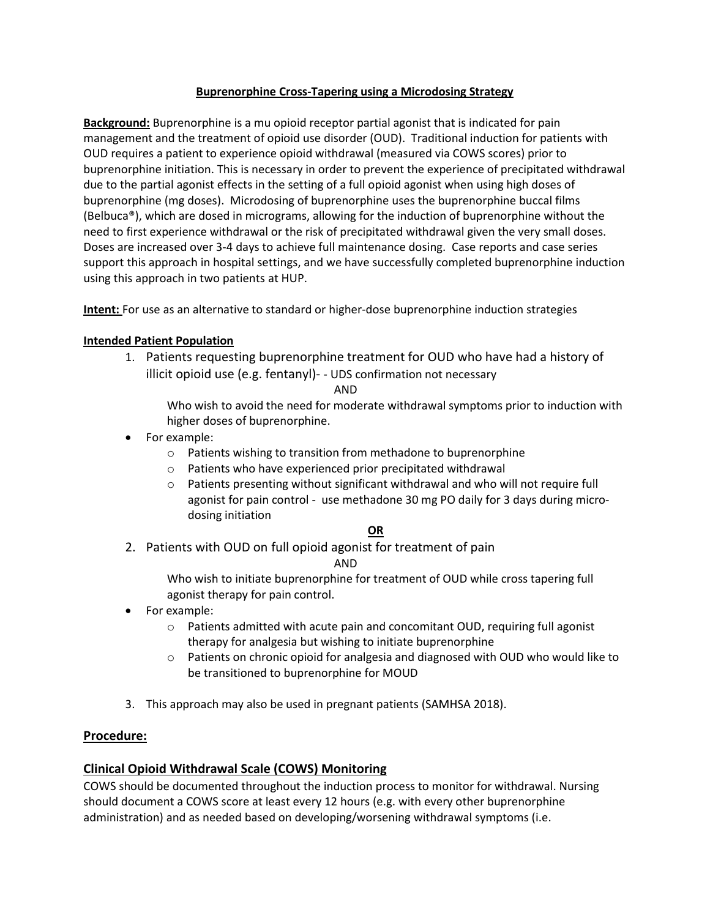### **Buprenorphine Cross-Tapering using a Microdosing Strategy**

**Background:** Buprenorphine is a mu opioid receptor partial agonist that is indicated for pain management and the treatment of opioid use disorder (OUD). Traditional induction for patients with OUD requires a patient to experience opioid withdrawal (measured via COWS scores) prior to buprenorphine initiation. This is necessary in order to prevent the experience of precipitated withdrawal due to the partial agonist effects in the setting of a full opioid agonist when using high doses of buprenorphine (mg doses). Microdosing of buprenorphine uses the buprenorphine buccal films (Belbuca®), which are dosed in micrograms, allowing for the induction of buprenorphine without the need to first experience withdrawal or the risk of precipitated withdrawal given the very small doses. Doses are increased over 3-4 days to achieve full maintenance dosing. Case reports and case series support this approach in hospital settings, and we have successfully completed buprenorphine induction using this approach in two patients at HUP.

**Intent:** For use as an alternative to standard or higher-dose buprenorphine induction strategies

### **Intended Patient Population**

1. Patients requesting buprenorphine treatment for OUD who have had a history of illicit opioid use (e.g. fentanyl)- - UDS confirmation not necessary

AND

Who wish to avoid the need for moderate withdrawal symptoms prior to induction with higher doses of buprenorphine.

- For example:
	- o Patients wishing to transition from methadone to buprenorphine
	- o Patients who have experienced prior precipitated withdrawal
	- o Patients presenting without significant withdrawal and who will not require full agonist for pain control - use methadone 30 mg PO daily for 3 days during microdosing initiation

#### **OR**

2. Patients with OUD on full opioid agonist for treatment of pain

AND

Who wish to initiate buprenorphine for treatment of OUD while cross tapering full agonist therapy for pain control.

- For example:
	- $\circ$  Patients admitted with acute pain and concomitant OUD, requiring full agonist therapy for analgesia but wishing to initiate buprenorphine
	- $\circ$  Patients on chronic opioid for analgesia and diagnosed with OUD who would like to be transitioned to buprenorphine for MOUD
- 3. This approach may also be used in pregnant patients (SAMHSA 2018).

#### **Procedure:**

# **Clinical Opioid Withdrawal Scale (COWS) Monitoring**

COWS should be documented throughout the induction process to monitor for withdrawal. Nursing should document a COWS score at least every 12 hours (e.g. with every other buprenorphine administration) and as needed based on developing/worsening withdrawal symptoms (i.e.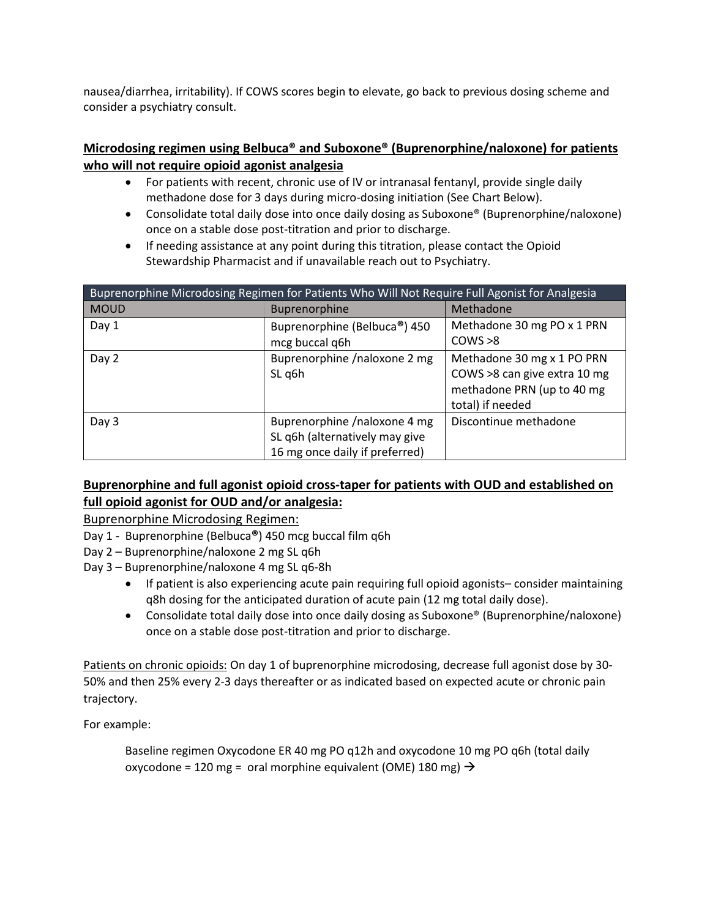nausea/diarrhea, irritability). If COWS scores begin to elevate, go back to previous dosing scheme and consider a psychiatry consult.

# **Microdosing regimen using Belbuca® and Suboxone® (Buprenorphine/naloxone) for patients who will not require opioid agonist analgesia**

- For patients with recent, chronic use of IV or intranasal fentanyl, provide single daily methadone dose for 3 days during micro-dosing initiation (See Chart Below).
- Consolidate total daily dose into once daily dosing as Suboxone® (Buprenorphine/naloxone) once on a stable dose post-titration and prior to discharge.
- If needing assistance at any point during this titration, please contact the Opioid Stewardship Pharmacist and if unavailable reach out to Psychiatry.

| Buprenorphine Microdosing Regimen for Patients Who Will Not Require Full Agonist for Analgesia |                                                                                                  |                                                                                                              |
|------------------------------------------------------------------------------------------------|--------------------------------------------------------------------------------------------------|--------------------------------------------------------------------------------------------------------------|
| <b>MOUD</b>                                                                                    | Buprenorphine                                                                                    | Methadone                                                                                                    |
| Day 1                                                                                          | Buprenorphine (Belbuca®) 450<br>mcg buccal q6h                                                   | Methadone 30 mg PO x 1 PRN<br>COWS > 8                                                                       |
| Day 2                                                                                          | Buprenorphine /naloxone 2 mg<br>SL q6h                                                           | Methadone 30 mg x 1 PO PRN<br>COWS >8 can give extra 10 mg<br>methadone PRN (up to 40 mg<br>total) if needed |
| Day 3                                                                                          | Buprenorphine /naloxone 4 mg<br>SL q6h (alternatively may give<br>16 mg once daily if preferred) | Discontinue methadone                                                                                        |

# **Buprenorphine and full agonist opioid cross-taper for patients with OUD and established on full opioid agonist for OUD and/or analgesia:**

Buprenorphine Microdosing Regimen:

- Day 1 Buprenorphine (Belbuca**®**) 450 mcg buccal film q6h
- Day 2 Buprenorphine/naloxone 2 mg SL q6h
- Day 3 Buprenorphine/naloxone 4 mg SL q6-8h
	- If patient is also experiencing acute pain requiring full opioid agonists– consider maintaining q8h dosing for the anticipated duration of acute pain (12 mg total daily dose).
	- Consolidate total daily dose into once daily dosing as Suboxone® (Buprenorphine/naloxone) once on a stable dose post-titration and prior to discharge.

Patients on chronic opioids: On day 1 of buprenorphine microdosing, decrease full agonist dose by 30- 50% and then 25% every 2-3 days thereafter or as indicated based on expected acute or chronic pain trajectory.

For example:

Baseline regimen Oxycodone ER 40 mg PO q12h and oxycodone 10 mg PO q6h (total daily oxycodone = 120 mg = oral morphine equivalent (OME) 180 mg)  $\rightarrow$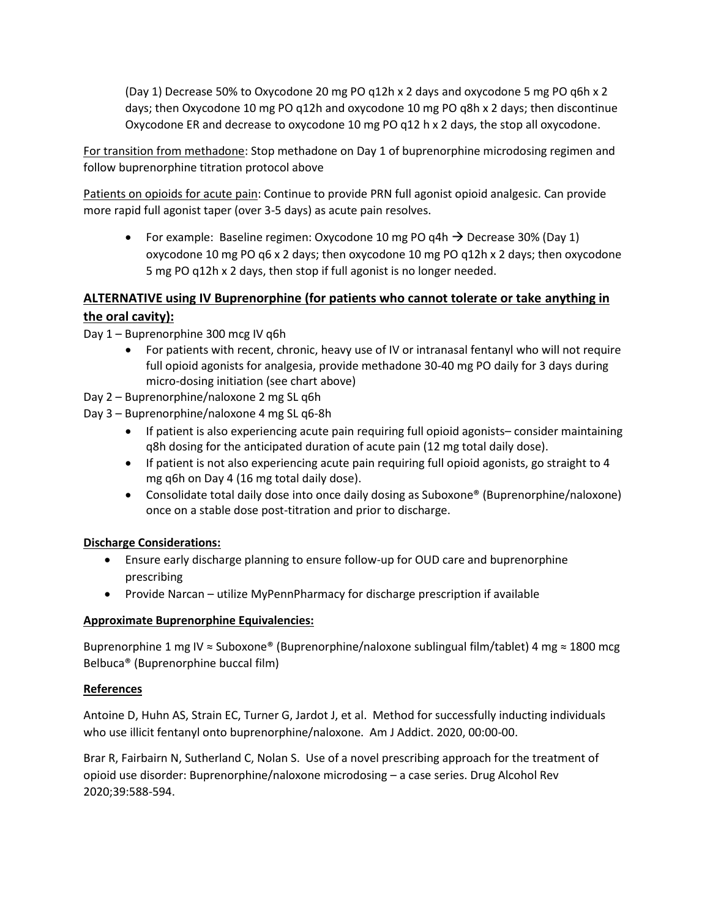(Day 1) Decrease 50% to Oxycodone 20 mg PO q12h x 2 days and oxycodone 5 mg PO q6h x 2 days; then Oxycodone 10 mg PO q12h and oxycodone 10 mg PO q8h x 2 days; then discontinue Oxycodone ER and decrease to oxycodone 10 mg PO q12 h x 2 days, the stop all oxycodone.

For transition from methadone: Stop methadone on Day 1 of buprenorphine microdosing regimen and follow buprenorphine titration protocol above

Patients on opioids for acute pain: Continue to provide PRN full agonist opioid analgesic. Can provide more rapid full agonist taper (over 3-5 days) as acute pain resolves.

For example: Baseline regimen: Oxycodone 10 mg PO q4h  $\rightarrow$  Decrease 30% (Day 1) oxycodone 10 mg PO q6 x 2 days; then oxycodone 10 mg PO q12h x 2 days; then oxycodone 5 mg PO q12h x 2 days, then stop if full agonist is no longer needed.

# **ALTERNATIVE using IV Buprenorphine (for patients who cannot tolerate or take anything in the oral cavity):**

Day 1 – Buprenorphine 300 mcg IV q6h

- For patients with recent, chronic, heavy use of IV or intranasal fentanyl who will not require full opioid agonists for analgesia, provide methadone 30-40 mg PO daily for 3 days during micro-dosing initiation (see chart above)
- Day 2 Buprenorphine/naloxone 2 mg SL q6h
- Day 3 Buprenorphine/naloxone 4 mg SL q6-8h
	- If patient is also experiencing acute pain requiring full opioid agonists– consider maintaining q8h dosing for the anticipated duration of acute pain (12 mg total daily dose).
	- If patient is not also experiencing acute pain requiring full opioid agonists, go straight to 4 mg q6h on Day 4 (16 mg total daily dose).
	- Consolidate total daily dose into once daily dosing as Suboxone® (Buprenorphine/naloxone) once on a stable dose post-titration and prior to discharge.

# **Discharge Considerations:**

- Ensure early discharge planning to ensure follow-up for OUD care and buprenorphine prescribing
- Provide Narcan utilize MyPennPharmacy for discharge prescription if available

# **Approximate Buprenorphine Equivalencies:**

Buprenorphine 1 mg IV ≈ Suboxone® (Buprenorphine/naloxone sublingual film/tablet) 4 mg ≈ 1800 mcg Belbuca® (Buprenorphine buccal film)

# **References**

Antoine D, Huhn AS, Strain EC, Turner G, Jardot J, et al. Method for successfully inducting individuals who use illicit fentanyl onto buprenorphine/naloxone. Am J Addict. 2020, 00:00-00.

Brar R, Fairbairn N, Sutherland C, Nolan S. Use of a novel prescribing approach for the treatment of opioid use disorder: Buprenorphine/naloxone microdosing – a case series. Drug Alcohol Rev 2020;39:588-594.